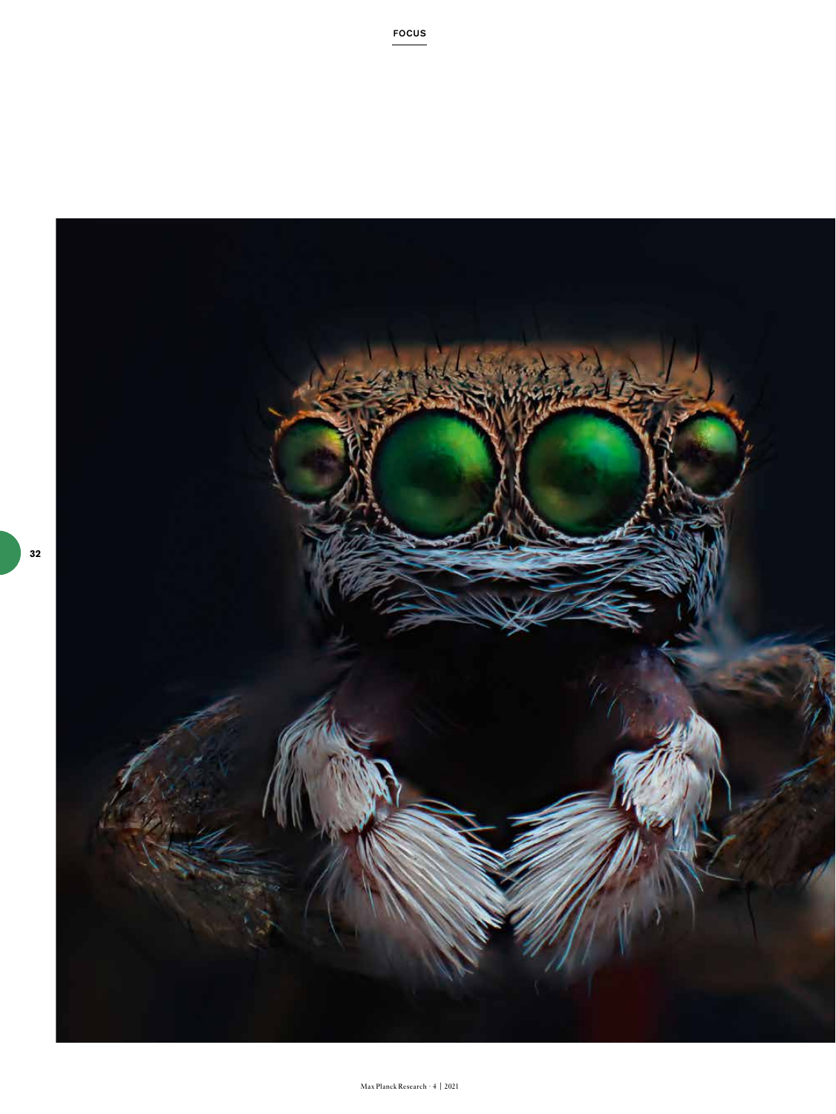

FOCUS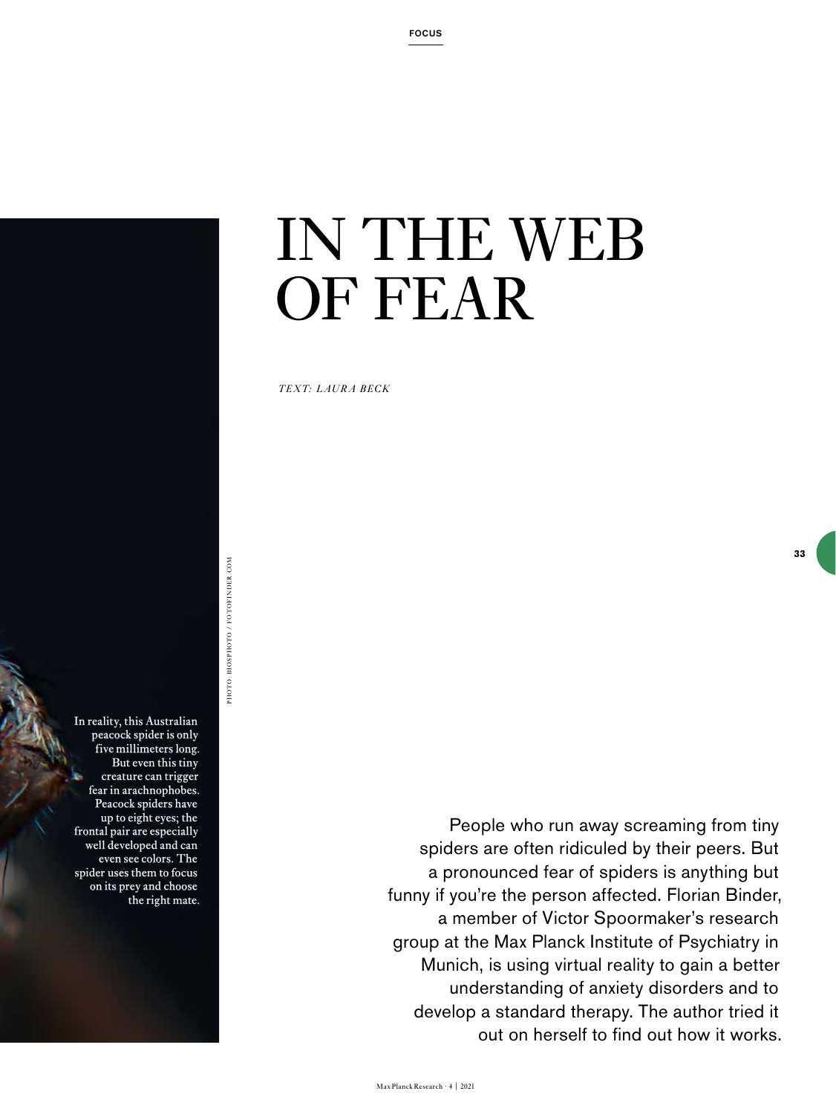

IN THE WEB OF FEAR

*TEXT: LAURA BECK* 

People who run away screaming from tiny spiders are often ridiculed by their peers. But a pronounced fear of spiders is anything but funny if you're the person affected. Florian Binder, a member of Victor Spoormaker's research group at the Max Planck Institute of Psychiatry in Munich, is using virtual reality to gain a better understanding of anxiety disorders and to develop a standard therapy. The author tried it out on herself to find out how it works.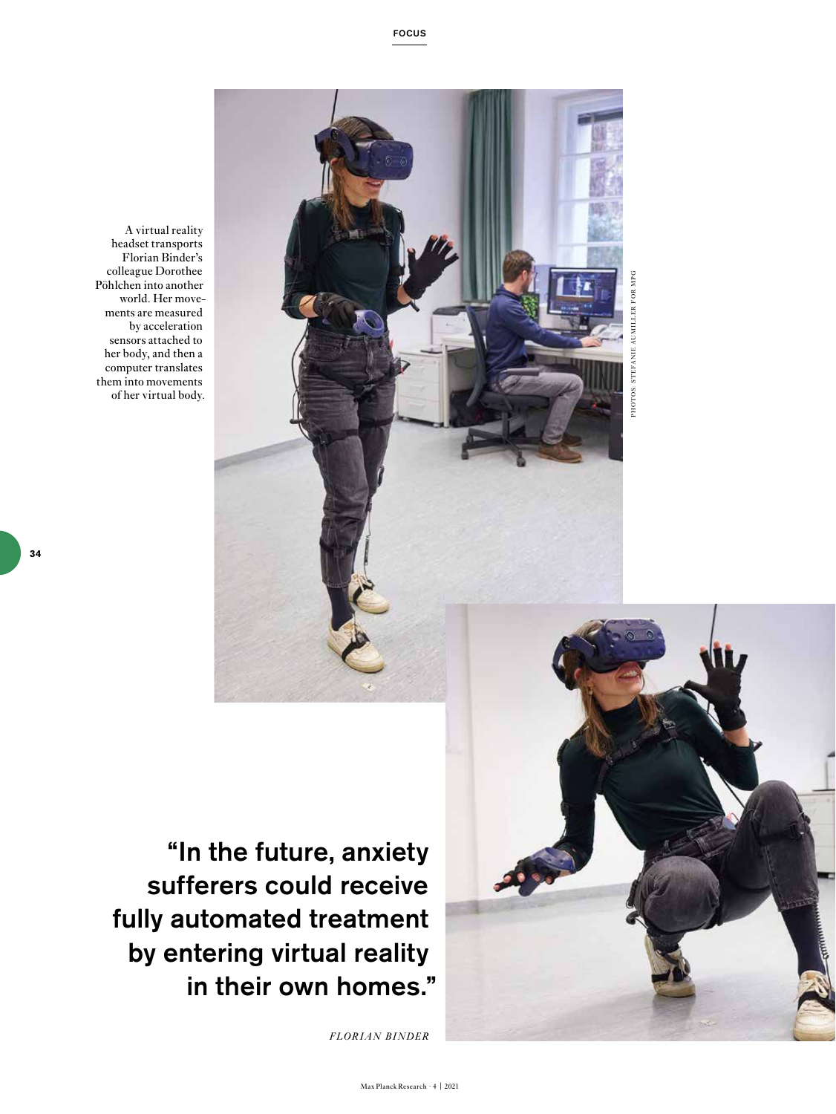

A virtual reality headset transports Florian Binder's colleague Dorothee Pöhlchen into another world. Her movements are measured by acceleration sensors attached to her body, and then a computer translates them into movements of her virtual body.

PHOTOS: STEFANIE AUMILLER FOR MPG PHOTOS: STEFANIE AUMILLER FOR MPC

"In the future, anxiety sufferers could receive fully automated treatment by entering virtual reality in their own homes."

*FLORIAN BINDER*

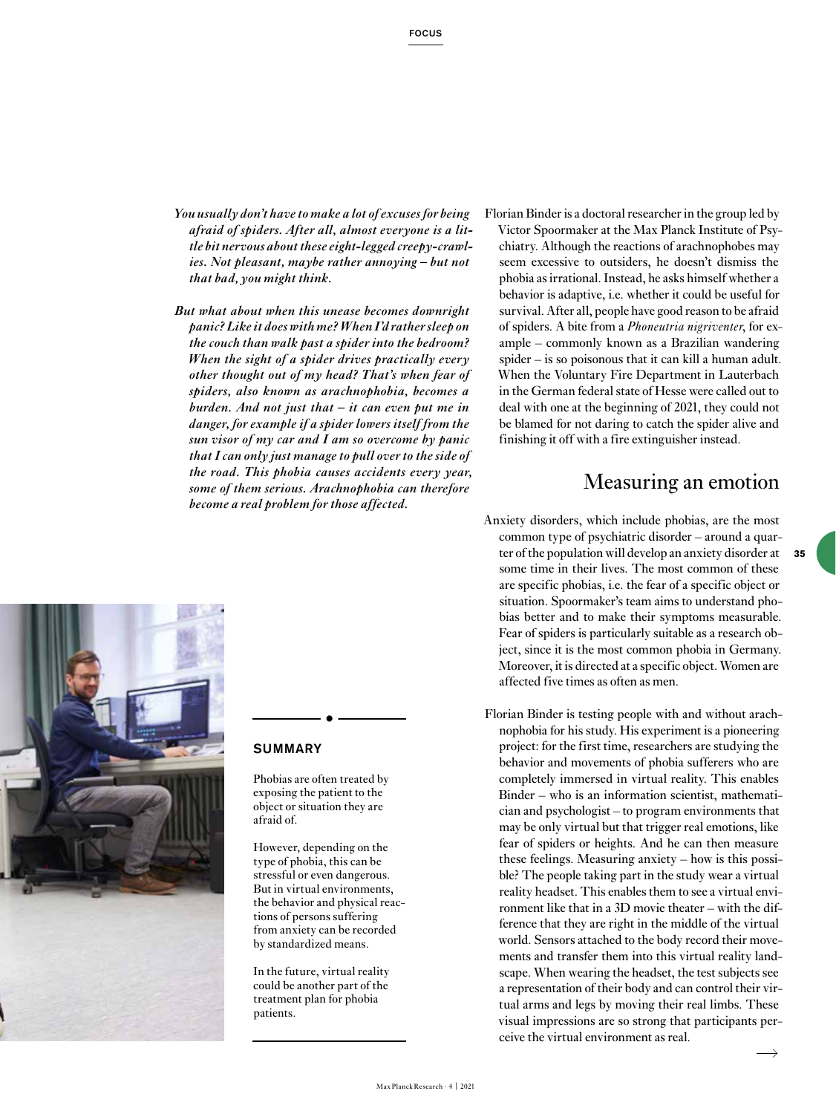- *You usually don't have to make a lot of excuses for being afraid of spiders. After all, almost everyone is a little bit nervous about these eight-legged creepy-crawlies. Not pleasant, maybe rather annoying – but not that bad, you might think.*
- *But what about when this unease becomes downright panic? Like it does with me? When I'd rather sleep on the couch than walk past a spider into the bedroom? When the sight of a spider drives practically every other thought out of my head? That's when fear of spiders, also known as arachnophobia, becomes a burden. And not just that – it can even put me in danger, for example if a spider lowers itself from the sun visor of my car and I am so overcome by panic that I can only just manage to pull over to the side of the road. This phobia causes accidents every year, some of them serious. Arachnophobia can therefore become a real problem for those affected.*
- Florian Binder is a doctoral researcher in the group led by Victor Spoormaker at the Max Planck Institute of Psychiatry. Although the reactions of arachnophobes may seem excessive to outsiders, he doesn't dismiss the phobia as irrational. Instead, he asks himself whether a behavior is adaptive, i.e. whether it could be useful for survival. After all, people have good reason to be afraid of spiders. A bite from a *Phoneutria nigriventer*, for example – commonly known as a Brazilian wandering spider – is so poisonous that it can kill a human adult. When the Voluntary Fire Department in Lauterbach in the German federal state of Hesse were called out to deal with one at the beginning of 2021, they could not be blamed for not daring to catch the spider alive and finishing it off with a fire extinguisher instead.

### Measuring an emotion

- Anxiety disorders, which include phobias, are the most common type of psychiatric disorder – around a quarter of the population will develop an anxiety disorder at some time in their lives. The most common of these are specific phobias, i.e. the fear of a specific object or situation. Spoormaker's team aims to understand phobias better and to make their symptoms measurable. Fear of spiders is particularly suitable as a research object, since it is the most common phobia in Germany. Moreover, it is directed at a specific object. Women are affected five times as often as men.
- Florian Binder is testing people with and without arachnophobia for his study. His experiment is a pioneering project: for the first time, researchers are studying the behavior and movements of phobia sufferers who are completely immersed in virtual reality. This enables Binder – who is an information scientist, mathematician and psychologist – to program environments that may be only virtual but that trigger real emotions, like fear of spiders or heights. And he can then measure these feelings. Measuring anxiety – how is this possible? The people taking part in the study wear a virtual reality headset. This enables them to see a virtual environment like that in a 3D movie theater – with the difference that they are right in the middle of the virtual world. Sensors attached to the body record their movements and transfer them into this virtual reality landscape. When wearing the headset, the test subjects see a representation of their body and can control their virtual arms and legs by moving their real limbs. These visual impressions are so strong that participants perceive the virtual environment as real.



#### SUMMARY

Phobias are often treated by exposing the patient to the object or situation they are afraid of.

However, depending on the type of phobia, this can be stressful or even dangerous. But in virtual environments, the behavior and physical reactions of persons suffering from anxiety can be recorded by standardized means.

In the future, virtual reality could be another part of the treatment plan for phobia patients.

**35**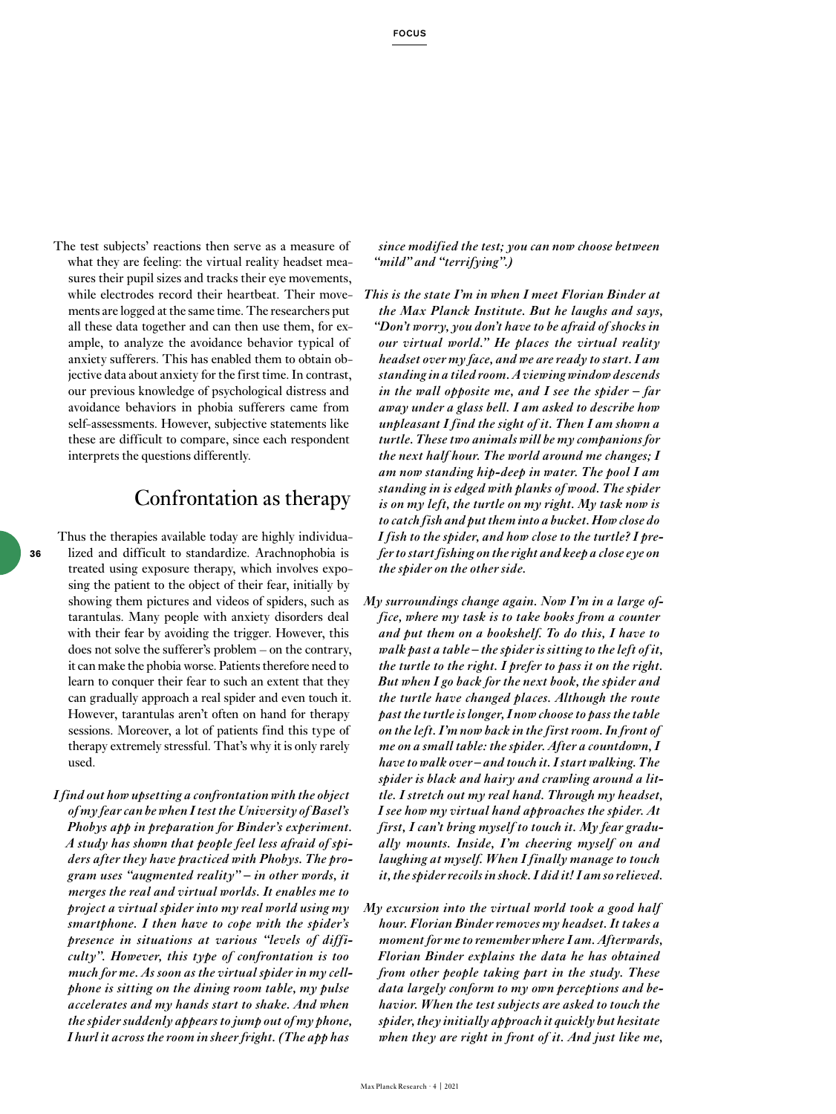- **36**
- The test subjects' reactions then serve as a measure of what they are feeling: the virtual reality headset measures their pupil sizes and tracks their eye movements, while electrodes record their heartbeat. Their movements are logged at the same time. The researchers put all these data together and can then use them, for example, to analyze the avoidance behavior typical of anxiety sufferers. This has enabled them to obtain objective data about anxiety for the first time. In contrast, our previous knowledge of psychological distress and avoidance behaviors in phobia sufferers came from self-assessments. However, subjective statements like these are difficult to compare, since each respondent interprets the questions differently.

# Confrontation as therapy

- Thus the therapies available today are highly individualized and difficult to standardize. Arachnophobia is treated using exposure therapy, which involves exposing the patient to the object of their fear, initially by showing them pictures and videos of spiders, such as tarantulas. Many people with anxiety disorders deal with their fear by avoiding the trigger. However, this does not solve the sufferer's problem – on the contrary, it can make the phobia worse. Patients therefore need to learn to conquer their fear to such an extent that they can gradually approach a real spider and even touch it. However, tarantulas aren't often on hand for therapy sessions. Moreover, a lot of patients find this type of therapy extremely stressful. That's why it is only rarely used.
- *I find out how upsetting a confrontation with the object of my fear can be when I test the University of Basel's Phobys app in preparation for Binder's experiment. A study has shown that people feel less afraid of spiders after they have practiced with Phobys. The program uses "augmented reality" – in other words, it merges the real and virtual worlds. It enables me to project a virtual spider into my real world using my smartphone. I then have to cope with the spider's presence in situations at various "levels of difficulty". However, this type of confrontation is too much for me. As soon as the virtual spider in my cellphone is sitting on the dining room table, my pulse accelerates and my hands start to shake. And when the spider suddenly appears to jump out of my phone, I hurl it across the room in sheer fright. (The app has*

*since modified the test; you can now choose between "mild" and "terrifying".)*

- *This is the state I'm in when I meet Florian Binder at the Max Planck Institute. But he laughs and says, "Don't worry, you don't have to be afraid of shocks in our virtual world." He places the virtual reality headset over my face, and we are ready to start. I am standing in a tiled room. A viewing window descends in the wall opposite me, and I see the spider – far away under a glass bell. I am asked to describe how unpleasant I find the sight of it. Then I am shown a turtle. These two animals will be my companions for the next half hour. The world around me changes; I am now standing hip-deep in water. The pool I am standing in is edged with planks of wood. The spider is on my left, the turtle on my right. My task now is to catch fish and put them into a bucket. How close do I fish to the spider, and how close to the turtle? I prefer to start fishing on the right and keep a close eye on the spider on the other side.*
- *My surroundings change again. Now I'm in a large office, where my task is to take books from a counter and put them on a bookshelf. To do this, I have to walk past a table – the spider is sitting to the left of it, the turtle to the right. I prefer to pass it on the right. But when I go back for the next book, the spider and the turtle have changed places. Although the route past the turtle is longer, I now choose to pass the table on the left. I'm now back in the first room. In front of me on a small table: the spider. After a countdown, I have to walk over – and touch it. I start walking. The spider is black and hairy and crawling around a little. I stretch out my real hand. Through my headset, I see how my virtual hand approaches the spider. At first, I can't bring myself to touch it. My fear gradually mounts. Inside, I'm cheering myself on and laughing at myself. When I finally manage to touch it, the spider recoils in shock. I did it! I am so relieved.*
- *My excursion into the virtual world took a good half hour. Florian Binder removes my headset. It takes a moment for me to remember where I am. Afterwards, Florian Binder explains the data he has obtained from other people taking part in the study. These data largely conform to my own perceptions and behavior. When the test subjects are asked to touch the spider, they initially approach it quickly but hesitate when they are right in front of it. And just like me,*